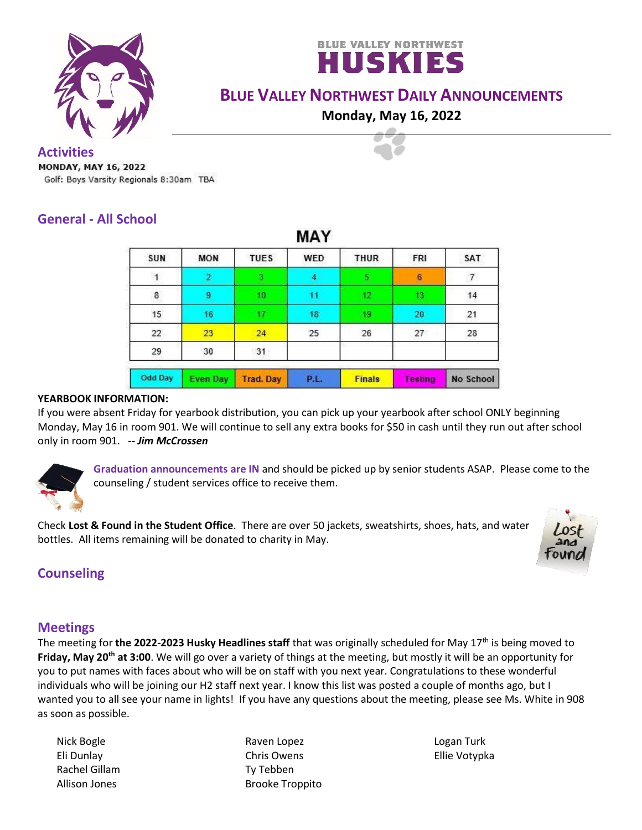



# **BLUE VALLEY NORTHWEST DAILY ANNOUNCEMENTS**

**Monday, May 16, 2022**

**Activities**

Golf: Boys Varsity Regionals 8:30am TBA

## **General - All School**

| <b>SUN</b>     | <b>MON</b>      | <b>TUES</b>      | WED             | <b>THUR</b>   | FRI     | SAT       |
|----------------|-----------------|------------------|-----------------|---------------|---------|-----------|
|                | 2               | 3                | 4               | 5             | 6       |           |
| $\bf{8}$       | 9               | 10               | $\overline{11}$ | 42            | 13      | 14        |
| 15             | 16              | 17               | 18              | 19            | 20      | 21        |
| 22             | 23              | 24               | 25              | 26            | 27      | 28        |
| 29             | 30              | 31               |                 |               |         |           |
| <b>Odd Day</b> | <b>Even Day</b> | <b>Trad. Day</b> | <b>P.L.</b>     | <b>Finals</b> | Testing | No School |

**MAY** 

#### **YEARBOOK INFORMATION:**

If you were absent Friday for yearbook distribution, you can pick up your yearbook after school ONLY beginning Monday, May 16 in room 901. We will continue to sell any extra books for \$50 in cash until they run out after school only in room 901. *-- Jim McCrossen*



**Graduation announcements are IN** and should be picked up by senior students ASAP. Please come to the counseling / student services office to receive them.

Check **Lost & Found in the Student Office**. There are over 50 jackets, sweatshirts, shoes, hats, and water bottles. All items remaining will be donated to charity in May.



## **Counseling**

### **Meetings**

The meeting for the 2022-2023 Husky Headlines staff that was originally scheduled for May 17<sup>th</sup> is being moved to **Friday, May 20th at 3:00**. We will go over a variety of things at the meeting, but mostly it will be an opportunity for you to put names with faces about who will be on staff with you next year. Congratulations to these wonderful individuals who will be joining our H2 staff next year. I know this list was posted a couple of months ago, but I wanted you to all see your name in lights! If you have any questions about the meeting, please see Ms. White in 908 as soon as possible.

Nick Bogle Eli Dunlay Rachel Gillam Allison Jones

Raven Lopez Chris Owens Ty Tebben Brooke Troppito Logan Turk Ellie Votypka